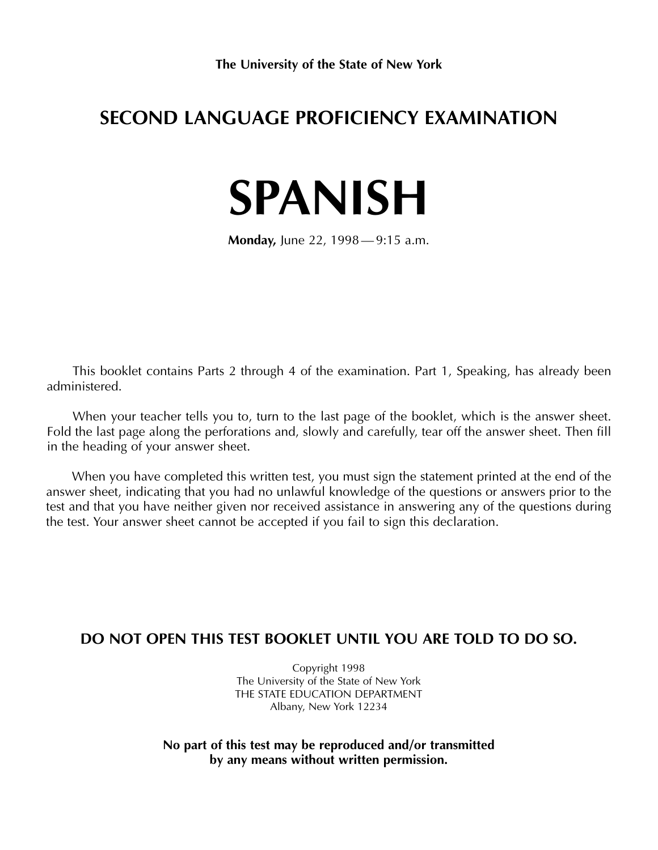## **SECOND LANGUAGE PROFICIENCY EXAMINATION**

# **SPANISH**

**Monday,** June 22, 1998 — 9:15 a.m.

This booklet contains Parts 2 through 4 of the examination. Part 1, Speaking, has already been administered.

When your teacher tells you to, turn to the last page of the booklet, which is the answer sheet. Fold the last page along the perforations and, slowly and carefully, tear off the answer sheet. Then fill in the heading of your answer sheet.

When you have completed this written test, you must sign the statement printed at the end of the answer sheet, indicating that you had no unlawful knowledge of the questions or answers prior to the test and that you have neither given nor received assistance in answering any of the questions during the test. Your answer sheet cannot be accepted if you fail to sign this declaration.

#### **DO NOT OPEN THIS TEST BOOKLET UNTIL YOU ARE TOLD TO DO SO.**

Copyright 1998 The University of the State of New York THE STATE EDUCATION DEPARTMENT Albany, New York 12234

**No part of this test may be reproduced and/or transmitted by any means without written permission.**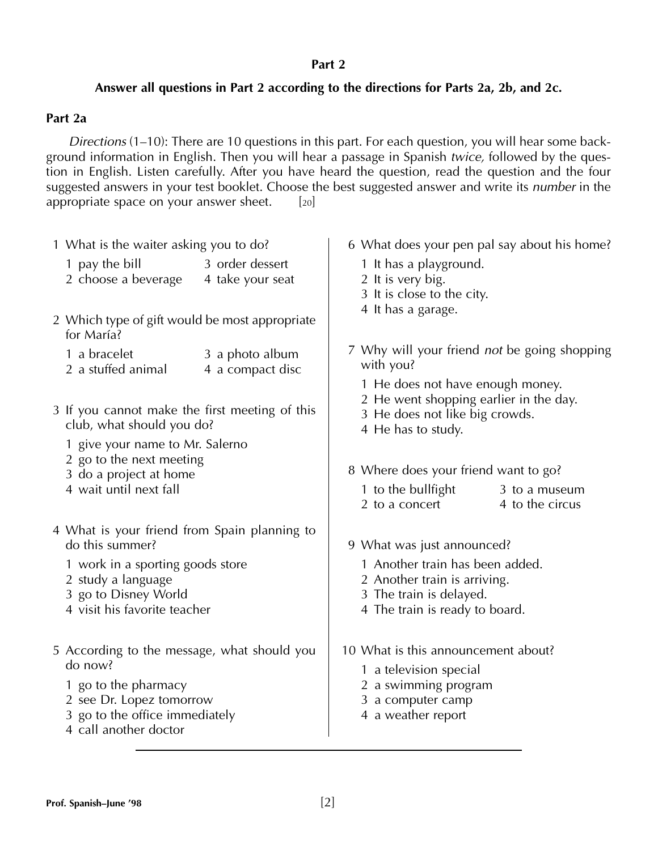#### **Part 2**

#### **Answer all questions in Part 2 according to the directions for Parts 2a, 2b, and 2c.**

#### **Part 2a**

*Directions* (1–10): There are 10 questions in this part. For each question, you will hear some background information in English. Then you will hear a passage in Spanish *twice,* followed by the question in English. Listen carefully. After you have heard the question, read the question and the four suggested answers in your test booklet. Choose the best suggested answer and write its *number* in the appropriate space on your answer sheet.  $[20]$ 

| 1 What is the waiter asking you to do?                                      |                                                                                                                                                                                                                                                                                                                                                                          |                                                                                                                                    | 6 What does your pen pal say about his home?                                                                                                                                                                                                                                                                                                                                                             |  |  |
|-----------------------------------------------------------------------------|--------------------------------------------------------------------------------------------------------------------------------------------------------------------------------------------------------------------------------------------------------------------------------------------------------------------------------------------------------------------------|------------------------------------------------------------------------------------------------------------------------------------|----------------------------------------------------------------------------------------------------------------------------------------------------------------------------------------------------------------------------------------------------------------------------------------------------------------------------------------------------------------------------------------------------------|--|--|
| 3 order dessert<br>4 take your seat                                         |                                                                                                                                                                                                                                                                                                                                                                          |                                                                                                                                    |                                                                                                                                                                                                                                                                                                                                                                                                          |  |  |
|                                                                             |                                                                                                                                                                                                                                                                                                                                                                          |                                                                                                                                    |                                                                                                                                                                                                                                                                                                                                                                                                          |  |  |
| 3 a photo album<br>4 a compact disc                                         | with you?                                                                                                                                                                                                                                                                                                                                                                |                                                                                                                                    |                                                                                                                                                                                                                                                                                                                                                                                                          |  |  |
| 3 If you cannot make the first meeting of this<br>club, what should you do? |                                                                                                                                                                                                                                                                                                                                                                          | 1 He does not have enough money.<br>2 He went shopping earlier in the day.<br>3 He does not like big crowds.<br>4 He has to study. |                                                                                                                                                                                                                                                                                                                                                                                                          |  |  |
|                                                                             |                                                                                                                                                                                                                                                                                                                                                                          |                                                                                                                                    | 3 to a museum                                                                                                                                                                                                                                                                                                                                                                                            |  |  |
|                                                                             |                                                                                                                                                                                                                                                                                                                                                                          |                                                                                                                                    | 4 to the circus                                                                                                                                                                                                                                                                                                                                                                                          |  |  |
|                                                                             |                                                                                                                                                                                                                                                                                                                                                                          |                                                                                                                                    |                                                                                                                                                                                                                                                                                                                                                                                                          |  |  |
|                                                                             | 1 Another train has been added.<br>2 Another train is arriving.<br>3 The train is delayed.<br>4 The train is ready to board.                                                                                                                                                                                                                                             |                                                                                                                                    |                                                                                                                                                                                                                                                                                                                                                                                                          |  |  |
|                                                                             |                                                                                                                                                                                                                                                                                                                                                                          |                                                                                                                                    |                                                                                                                                                                                                                                                                                                                                                                                                          |  |  |
|                                                                             | 2 Which type of gift would be most appropriate<br>1 give your name to Mr. Salerno<br>2 go to the next meeting<br>3 do a project at home<br>4 What is your friend from Spain planning to<br>1 work in a sporting goods store<br>4 visit his favorite teacher<br>5 According to the message, what should you<br>2 see Dr. Lopez tomorrow<br>3 go to the office immediately |                                                                                                                                    | 1 It has a playground.<br>2 It is very big.<br>3 It is close to the city.<br>4 It has a garage.<br>7 Why will your friend <i>not</i> be going shopping<br>8 Where does your friend want to go?<br>1 to the bullfight<br>2 to a concert<br>9 What was just announced?<br>10 What is this announcement about?<br>1 a television special<br>2 a swimming program<br>3 a computer camp<br>4 a weather report |  |  |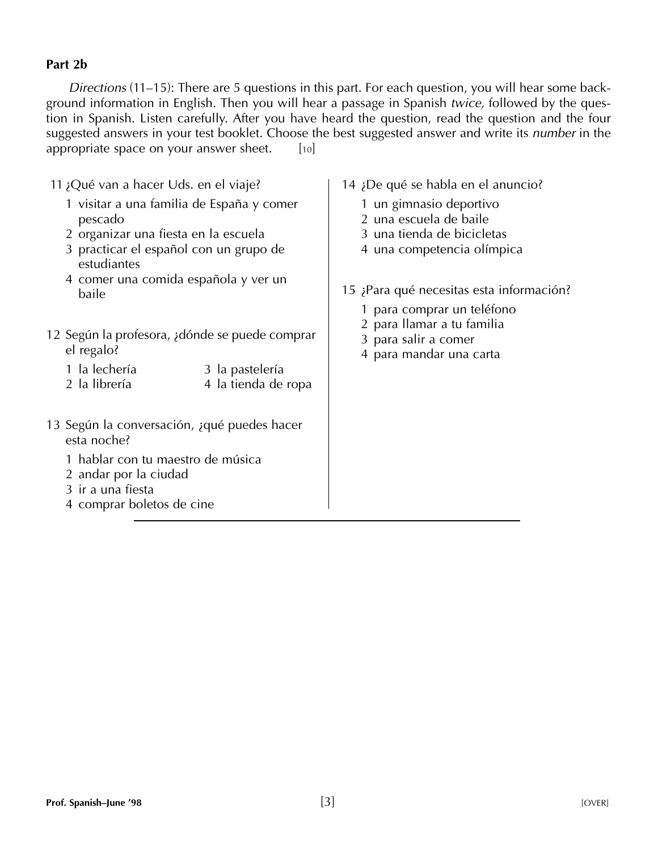#### **Part 2b**

*Directions* (11–15): There are 5 questions in this part. For each question, you will hear some background information in English. Then you will hear a passage in Spanish *twice,* followed by the question in Spanish. Listen carefully. After you have heard the question, read the question and the four suggested answers in your test booklet. Choose the best suggested answer and write its *number* in the appropriate space on your answer sheet.  $[10]$ 

| 11 ¿Qué van a hacer Uds. en el viaje?                                                                                                                                      | 14 ¿De qué se habla en el anuncio?                                                                            |
|----------------------------------------------------------------------------------------------------------------------------------------------------------------------------|---------------------------------------------------------------------------------------------------------------|
| 1 visitar a una familia de España y comer<br>pescado<br>2 organizar una fiesta en la escuela<br>3 practicar el español con un grupo de<br>estudiantes                      | 1 un gimnasio deportivo<br>2 una escuela de baile<br>3 una tienda de bicicletas<br>4 una competencia olímpica |
| 4 comer una comida española y ver un<br>baile                                                                                                                              | 15 ¡Para qué necesitas esta información?<br>1 para comprar un teléfono<br>2 para llamar a tu familia          |
| 12 Según la profesora, adónde se puede comprar<br>el regalo?<br>la lechería<br>3 la pastelería<br>2 la librería<br>4 la tienda de ropa                                     | 3 para salir a comer<br>4 para mandar una carta                                                               |
| 13 Según la conversación, aqué puedes hacer<br>esta noche?<br>1 hablar con tu maestro de música<br>2 andar por la ciudad<br>3 ir a una fiesta<br>4 comprar boletos de cine |                                                                                                               |
|                                                                                                                                                                            |                                                                                                               |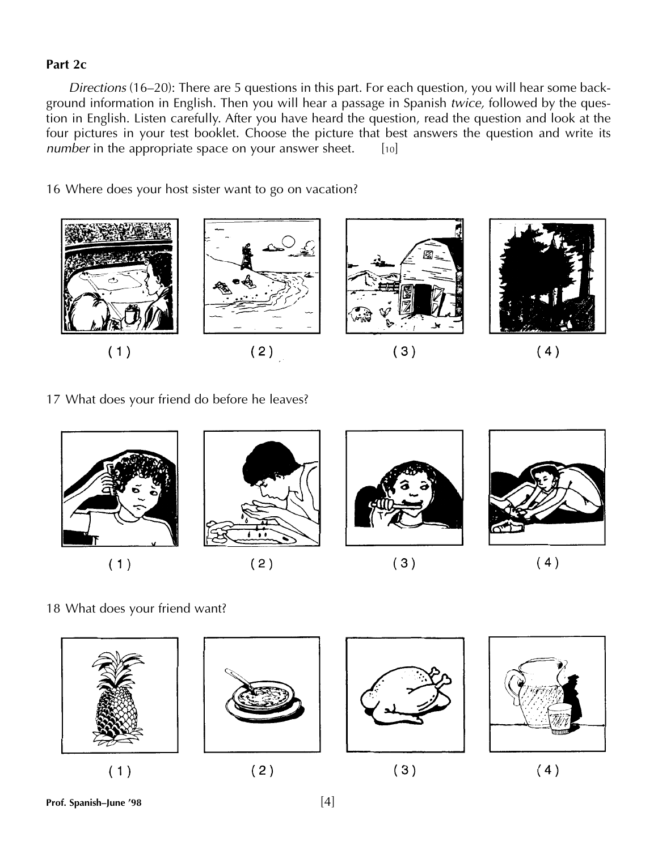#### **Part 2c**

*Directions* (16–20): There are 5 questions in this part. For each question, you will hear some background information in English. Then you will hear a passage in Spanish *twice,* followed by the question in English. Listen carefully. After you have heard the question, read the question and look at the four pictures in your test booklet. Choose the picture that best answers the question and write its *number* in the appropriate space on your answer sheet. [10]

16 Where does your host sister want to go on vacation?



17 What does your friend do before he leaves?



18 What does your friend want?



**Prof. Spanish–June '98** [4]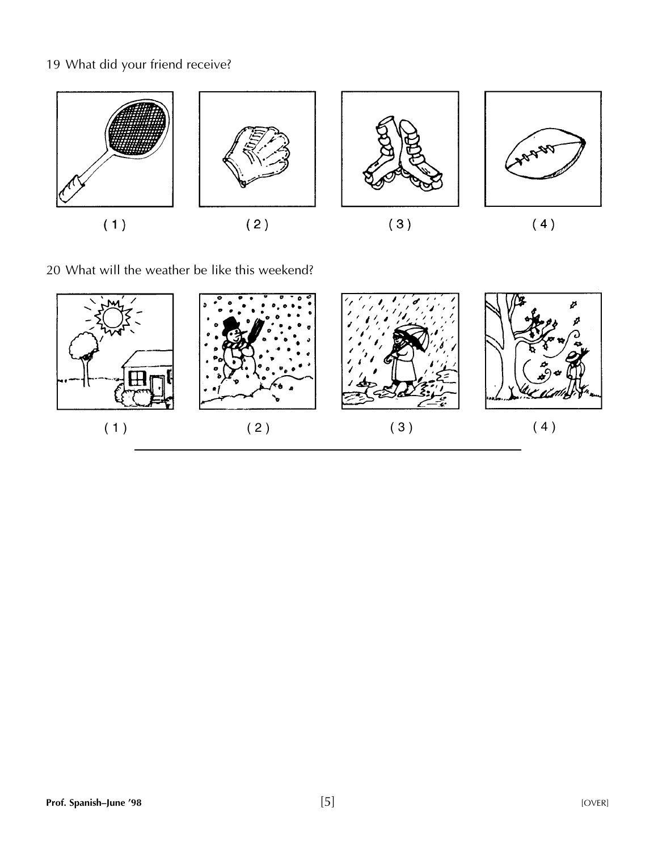### 19 What did your friend receive?



20 What will the weather be like this weekend?

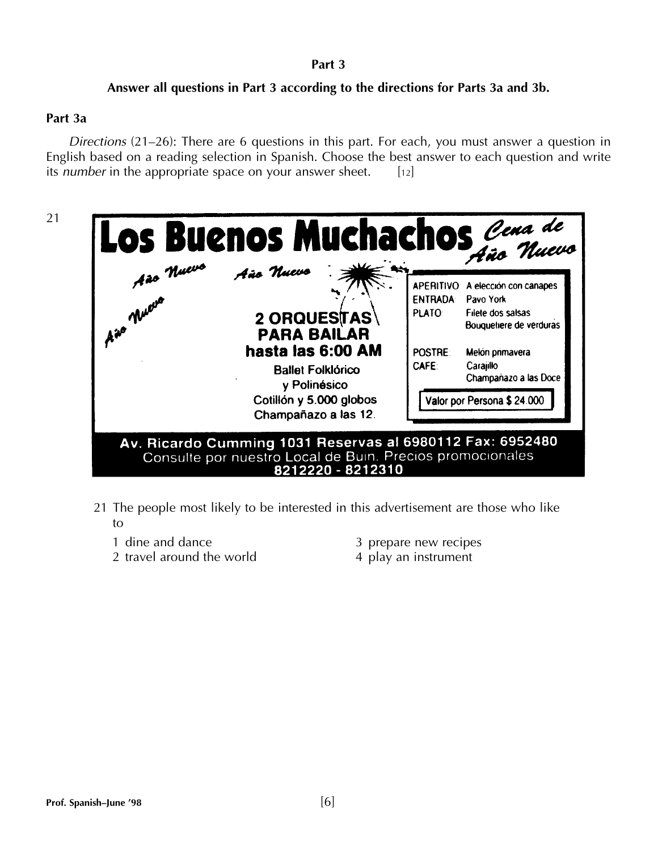#### **Part 3**

#### **Answer all questions in Part 3 according to the directions for Parts 3a and 3b.**

#### **Part 3a**

*Directions* (21–26): There are 6 questions in this part. For each, you must answer a question in English based on a reading selection in Spanish. Choose the best answer to each question and write its *number* in the appropriate space on your answer sheet. [12]



- 21 The people most likely to be interested in this advertisement are those who like to
	-
	- 2 travel around the world 4 play an instrument
	- 1 dine and dance 3 prepare new recipes
		-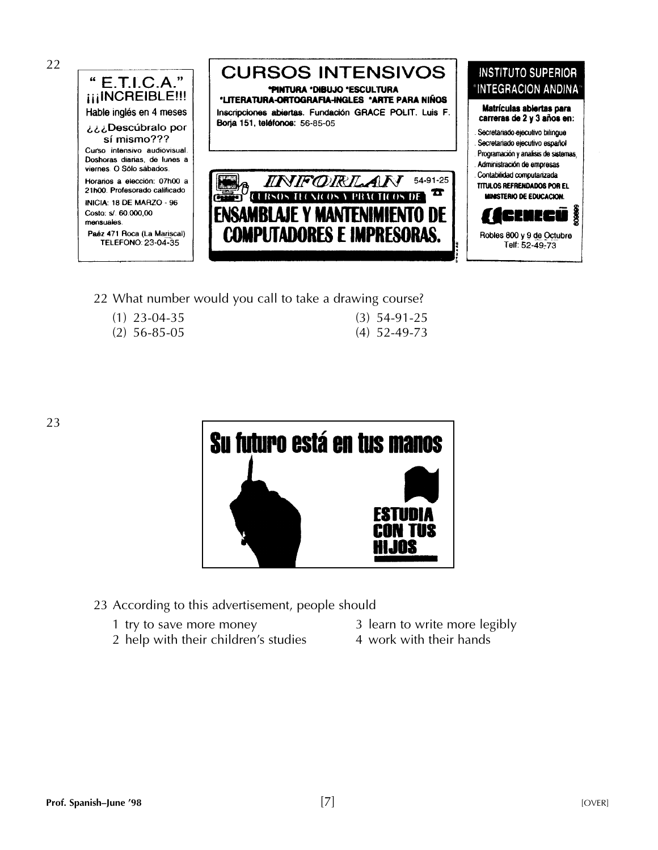

**CURSOS INTENSIVOS \*PINTURA \*DIBUJO \*ESCULTURA \*LITERATURA-ORTOGRAFIA-INGLES \*ARTE PARA NIÑOS** Inscripciones abiertas. Fundación GRACE POLIT. Luis F. Boria 151, teléfonos: 56-85-05

54-91-25 *INIFORLAN* T **ISAMRI NE** IPUTADORES E IMPRESORAS.

#### **INSTITUTO SUPERIOR** "INTEGRACION ANDINA"

Matrículas abiertas para carreras de 2 y 3 años en:

- Secretariado ejecutivo bilingue
- Secretariado ejecutivo español Programación y analisis de sistemas.
- Administración de empresas
- Contabilidad computarizada

**TITULOS REFRENDADOS POR EL MINISTERIO DE EDUCACION.** 



22 What number would you call to take a drawing course?

- 
- (1)  $23-04-35$  (3)<br>(2)  $56-85-05$  (4)

| $(3)$ 54-91-25 |
|----------------|
| $(4)$ 52-49-73 |

23



23 According to this advertisement, people should

- 
- 2 help with their children's studies  $\qquad \qquad$  4 work with their hands
- 1 try to save more money 1 and 3 learn to write more legibly
	-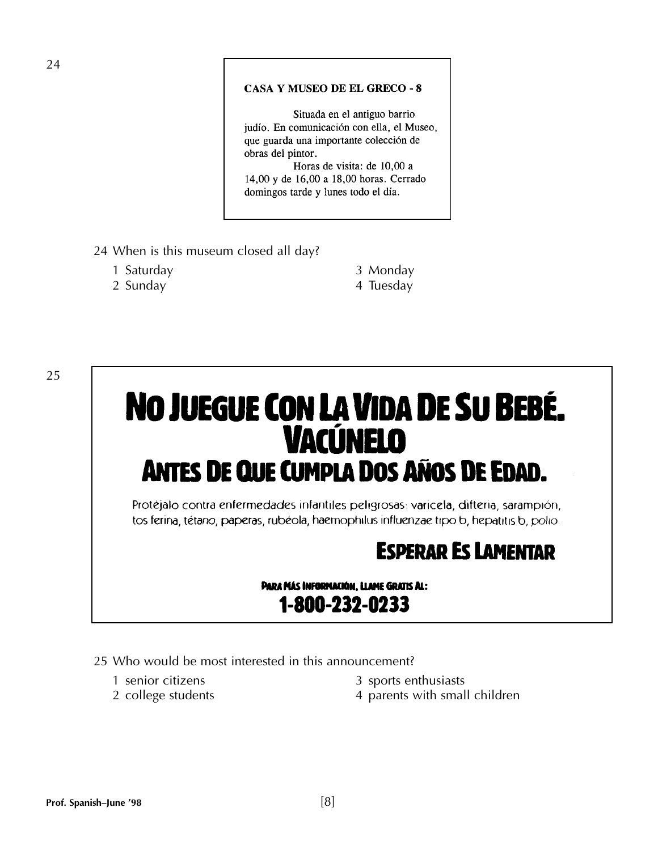#### **CASA Y MUSEO DE EL GRECO - 8**

Situada en el antiguo barrio judío. En comunicación con ella, el Museo, que guarda una importante colección de obras del pintor.

Horas de visita: de 10,00 a 14,00 y de 16,00 a 18,00 horas. Cerrado domingos tarde y lunes todo el día.

- 24 When is this museum closed all day?
	- 1 Saturday 3 Monday
	- 2 Sunday **4 Tuesday**

25

# NO JUEGUE CON LA VIDA DE SU BEBÉ. **VACÚNELO ANTES DE QUE CUMPLA DOS AÑOS DE EDAD.**

Protéjalo contra enfermedades infantiles peligrosas: varicela, difteria, sarampión, tos ferina, tétano, paperas, rubéola, haemophilus influenzae tipo b, hepatitis b, polio.

# **ESPERAR ES LAMENTAR**

PARA MÁS INFORMACIÓN, LLAME GRATIS AL: 1-800-232-0233

- 25 Who would be most interested in this announcement?
	-
	-
	- 1 senior citizens 3 sports enthusiasts
	- 2 college students 4 parents with small children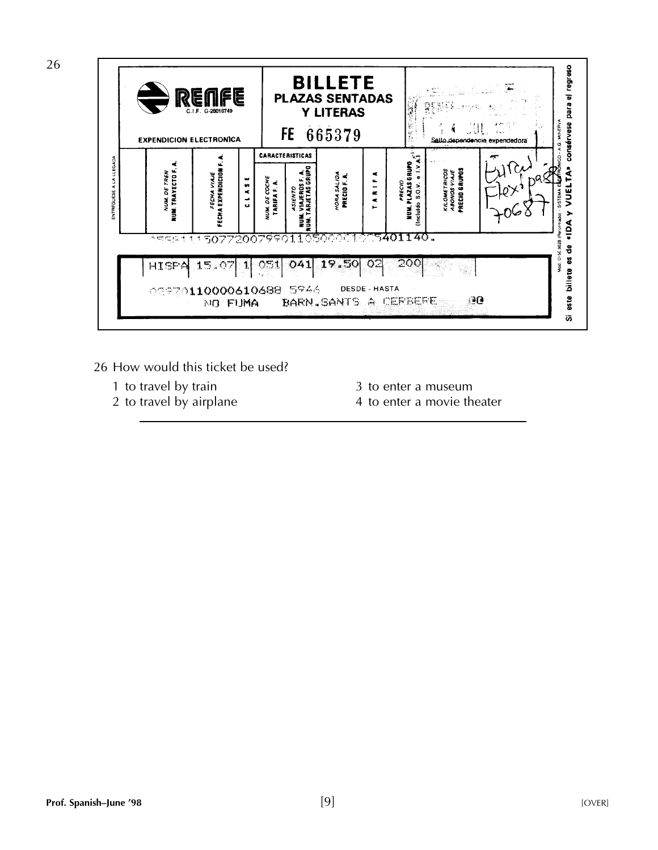

- 26 How would this ticket be used?
	-
	- 1 to travel by train<br>
	2 to travel by airplane<br>
	2 to travel by airplane<br>
	2 to enter a movie the state of the state of the state of the state of the state of the state of the state of the state of the state of the state of t
		-
		- 4 to enter a movie theater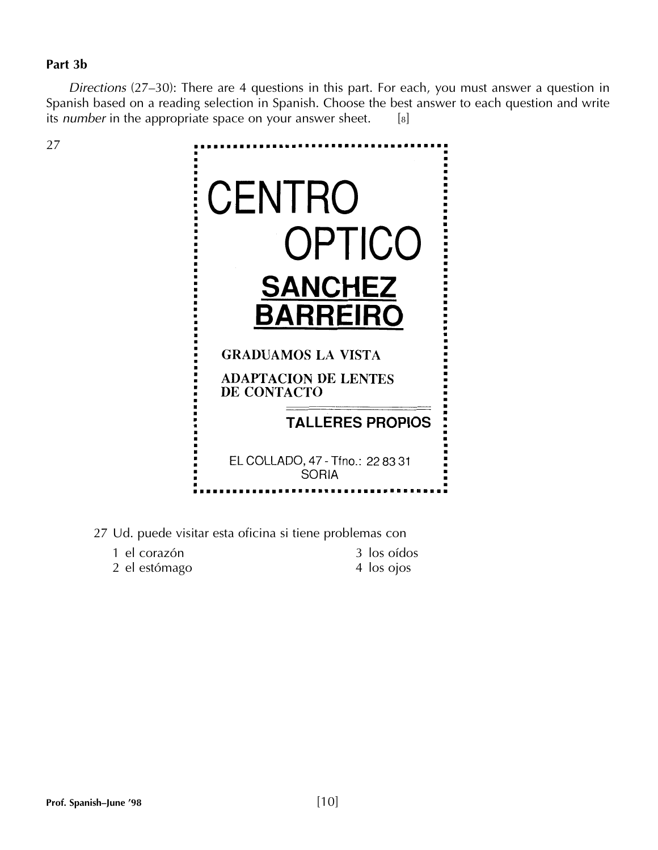#### **Part 3b**

27

*Directions* (27–30): There are 4 questions in this part. For each, you must answer a question in Spanish based on a reading selection in Spanish. Choose the best answer to each question and write its *number* in the appropriate space on your answer sheet. [8]



27 Ud. puede visitar esta oficina si tiene problemas con

| 1 el corazón  | 3 los oídos |
|---------------|-------------|
| 2 el estómago | 4 los ojos  |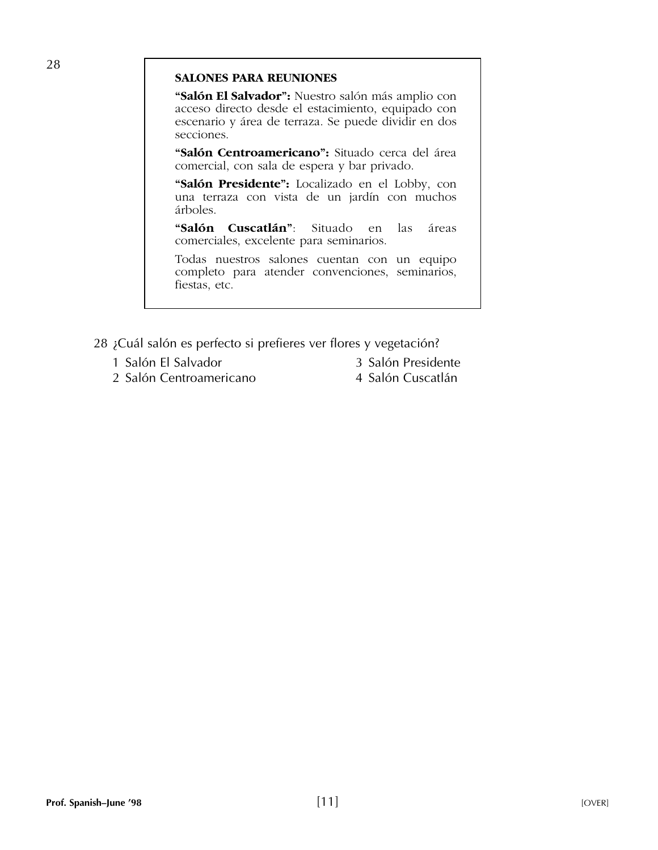#### **SALONES PARA REUNIONES**

**"Salón El Salvador":** Nuestro salón más amplio con acceso directo desde el estacimiento, equipado con escenario y área de terraza. Se puede dividir en dos secciones.

**"Salón Centroamericano":** Situado cerca del área comercial, con sala de espera y bar privado.

**"Salón Presidente":** Localizado en el Lobby, con una terraza con vista de un jardín con muchos árboles.

**"Salón Cuscatlán"**: Situado en las áreas comerciales, excelente para seminarios.

Todas nuestros salones cuentan con un equipo completo para atender convenciones, seminarios, fiestas, etc.

- 28 ¿Cuál salón es perfecto si prefieres ver flores y vegetación?
	- 1 Salón El Salvador 3 Salón Presidente
	- 2 Salón Centroamericano **4 Salón Cuscatlán**
- -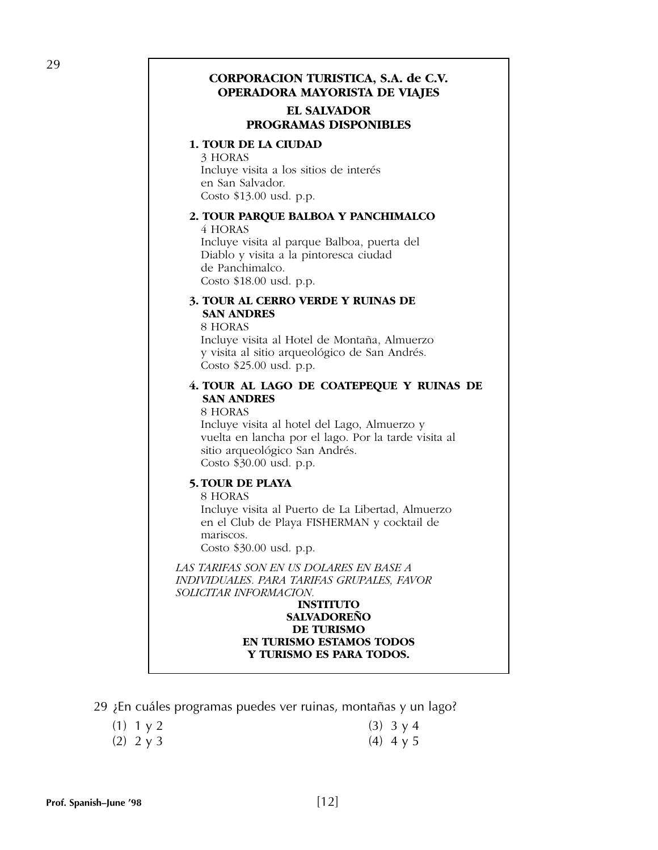#### **CORPORACION TURISTICA, S.A. de C.V. OPERADORA MAYORISTA DE VIAJES**

#### **EL SALVADOR PROGRAMAS DISPONIBLES**

#### **1. TOUR DE LA CIUDAD**

3 HORAS Incluye visita a los sitios de interés en San Salvador. Costo \$13.00 usd. p.p.

#### **2. TOUR PARQUE BALBOA Y PANCHIMALCO** 4 HORAS

Incluye visita al parque Balboa, puerta del Diablo y visita a la pintoresca ciudad de Panchimalco. Costo \$18.00 usd. p.p.

#### **3. TOUR AL CERRO VERDE Y RUINAS DE SAN ANDRES**

8 HORAS Incluye visita al Hotel de Montaña, Almuerzo y visita al sitio arqueológico de San Andrés. Costo \$25.00 usd. p.p.

#### **4. TOUR AL LAGO DE COATEPEQUE Y RUINAS DE SAN ANDRES**

8 HORAS

Incluye visita al hotel del Lago, Almuerzo y vuelta en lancha por el lago. Por la tarde visita al sitio arqueológico San Andrés. Costo \$30.00 usd. p.p.

#### **5. TOUR DE PLAYA**

8 HORAS

Incluye visita al Puerto de La Libertad, Almuerzo en el Club de Playa FISHERMAN y cocktail de mariscos. Costo \$30.00 usd. p.p.

*LAS TARIFAS SON EN US DOLARES EN BASE A INDIVIDUALES. PARA TARIFAS GRUPALES, FAVOR SOLICITAR INFORMACION.*

#### **INSTITUTO SALVADOREÑO DE TURISMO EN TURISMO ESTAMOS TODOS Y TURISMO ES PARA TODOS.**

29 ¿En cuáles programas puedes ver ruinas, montañas y un lago?

| (1) $1 y 2$      | (3) $3 \times 4$ |
|------------------|------------------|
| (2) $2 \times 3$ | (4) 4 y 5        |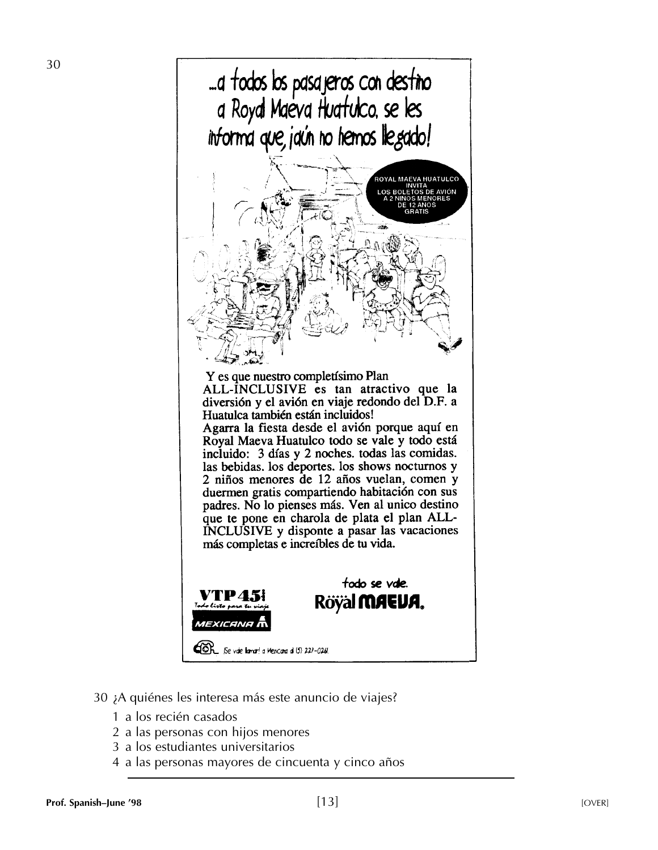

- 30 ¿A quiénes les interesa más este anuncio de viajes?
	- 1 a los recién casados
	- 2 a las personas con hijos menores
	- 3 a los estudiantes universitarios
	- 4 a las personas mayores de cincuenta y cinco años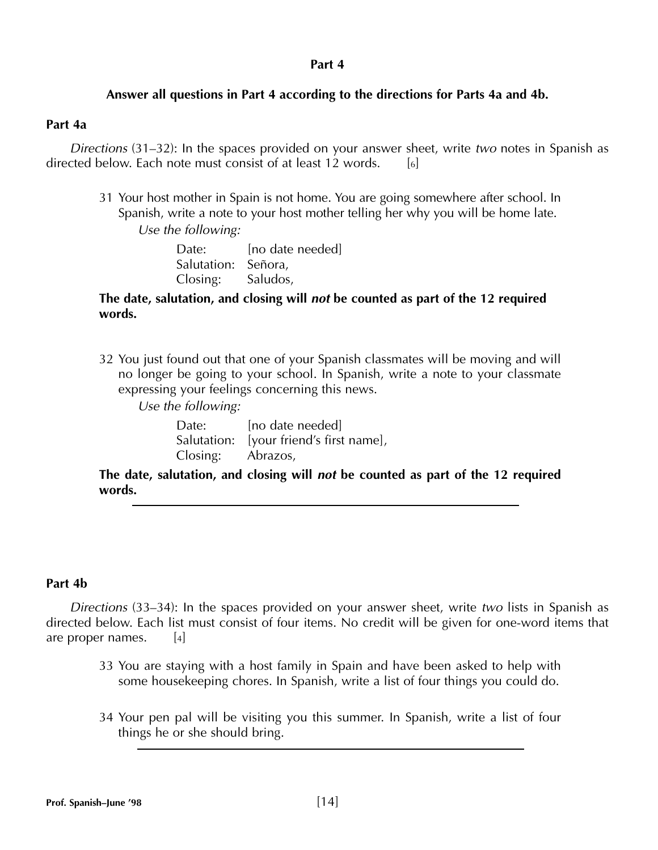#### **Part 4**

#### **Answer all questions in Part 4 according to the directions for Parts 4a and 4b.**

#### **Part 4a**

*Directions* (31–32): In the spaces provided on your answer sheet, write *two* notes in Spanish as directed below. Each note must consist of at least 12 words. [6]

31 Your host mother in Spain is not home. You are going somewhere after school. In Spanish, write a note to your host mother telling her why you will be home late.

*Use the following:*

Date: [no date needed] Salutation: Señora, Closing: Saludos,

#### **The date, salutation, and closing will** *not* **be counted as part of the 12 required words.**

- 32 You just found out that one of your Spanish classmates will be moving and will no longer be going to your school. In Spanish, write a note to your classmate expressing your feelings concerning this news.
	- *Use the following:*

| Date:             | [no date needed]                        |
|-------------------|-----------------------------------------|
|                   | Salutation: [your friend's first name], |
| Closing: Abrazos, |                                         |

**The date, salutation, and closing will** *not* **be counted as part of the 12 required words.**

#### **Part 4b**

*Directions* (33–34): In the spaces provided on your answer sheet, write *two* lists in Spanish as directed below. Each list must consist of four items. No credit will be given for one-word items that are proper names.  $[4]$ 

- 33 You are staying with a host family in Spain and have been asked to help with some housekeeping chores. In Spanish, write a list of four things you could do.
- 34 Your pen pal will be visiting you this summer. In Spanish, write a list of four things he or she should bring.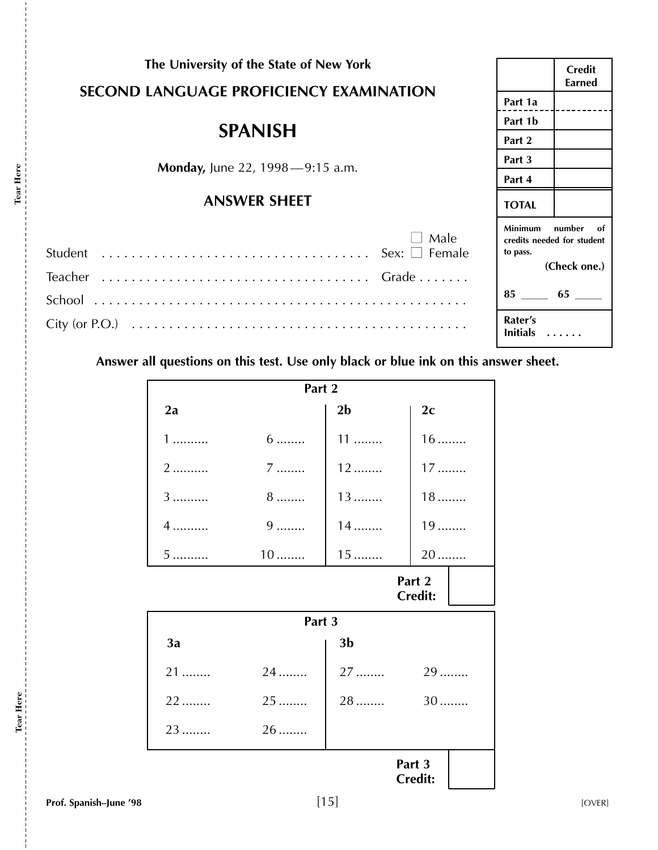| The University of the State of New York<br><b>SECOND LANGUAGE PROFICIENCY EXAMINATION</b> |                            | <b>Credit</b><br>Earned                    |
|-------------------------------------------------------------------------------------------|----------------------------|--------------------------------------------|
|                                                                                           |                            |                                            |
| <b>SPANISH</b>                                                                            |                            |                                            |
|                                                                                           |                            |                                            |
| Monday, June 22, 1998-9:15 a.m.                                                           | Part 3                     |                                            |
|                                                                                           | Part 4                     |                                            |
| <b>ANSWER SHEET</b>                                                                       | <b>TOTAL</b>               |                                            |
| Male                                                                                      | <b>Minimum</b><br>to pass. | number<br>of<br>credits needed for student |
|                                                                                           |                            | (Check one.)                               |
|                                                                                           | $85 \quad 65 \quad$        |                                            |
|                                                                                           | Rater's<br>Initials        |                                            |
| Answer all questions on this test. Use only black or blue ink on this answer sheet.       |                            |                                            |

| Part 2                   |           |                |        |  |
|--------------------------|-----------|----------------|--------|--|
| 2a                       |           | 2 <sub>b</sub> | 2c     |  |
| 1                        | $6 \dots$ | $11$           | $16$   |  |
| 2                        | $7$       | $12$           | $17$   |  |
| 3                        | 8         | 13             | $18$   |  |
| $4$                      | $9$       | $14$           | $19$   |  |
| $5 \dots \dots$          | $10$      | $15$           | $20$   |  |
| Part 2<br><b>Credit:</b> |           |                |        |  |
|                          | Part 3    |                |        |  |
| 3a                       |           | 3 <sub>b</sub> |        |  |
| 21                       | 24        | $27$           | 29     |  |
| 22                       | 25        | 28             | 30     |  |
| 23                       | $26$      |                |        |  |
|                          |           |                | Part 3 |  |

**Tear Here**

Tear Here

 $-11111111$ 

**Tear Here**

Tear Here